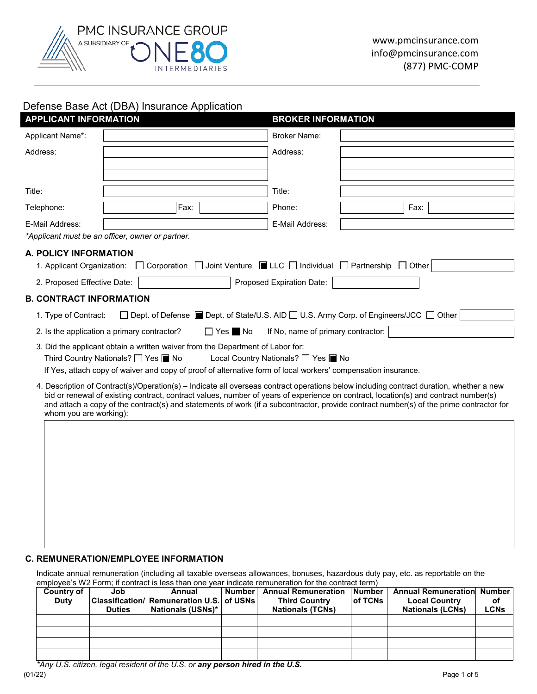

# Defense Base Act (DBA) Insurance Application

| <b>APPLICANT INFORMATION</b>   |                                                                                                                                                      | <b>BROKER INFORMATION</b>                                                               |      |  |  |  |  |
|--------------------------------|------------------------------------------------------------------------------------------------------------------------------------------------------|-----------------------------------------------------------------------------------------|------|--|--|--|--|
| Applicant Name*:               |                                                                                                                                                      | <b>Broker Name:</b>                                                                     |      |  |  |  |  |
| Address:                       |                                                                                                                                                      | Address:                                                                                |      |  |  |  |  |
|                                |                                                                                                                                                      |                                                                                         |      |  |  |  |  |
| Title:                         |                                                                                                                                                      | Title:                                                                                  |      |  |  |  |  |
| Telephone:                     | Fax:                                                                                                                                                 | Phone:                                                                                  | Fax: |  |  |  |  |
| E-Mail Address:                |                                                                                                                                                      | E-Mail Address:                                                                         |      |  |  |  |  |
|                                | *Applicant must be an officer, owner or partner.                                                                                                     |                                                                                         |      |  |  |  |  |
| A. POLICY INFORMATION          |                                                                                                                                                      |                                                                                         |      |  |  |  |  |
| 1. Applicant Organization:     |                                                                                                                                                      | □ Corporation □ Joint Venture ■ LLC □ Individual □ Partnership □ Other                  |      |  |  |  |  |
| 2. Proposed Effective Date:    |                                                                                                                                                      | Proposed Expiration Date:                                                               |      |  |  |  |  |
| <b>B. CONTRACT INFORMATION</b> |                                                                                                                                                      |                                                                                         |      |  |  |  |  |
| 1. Type of Contract:           |                                                                                                                                                      | □ Dept. of Defense ■ Dept. of State/U.S. AID □ U.S. Army Corp. of Engineers/JCC □ Other |      |  |  |  |  |
|                                | 2. Is the application a primary contractor?                                                                                                          | $\Box$ Yes $\blacksquare$ No<br>If No, name of primary contractor:                      |      |  |  |  |  |
|                                | 3. Did the applicant obtain a written waiver from the Department of Labor for:                                                                       |                                                                                         |      |  |  |  |  |
|                                | Third Country Nationals? □ Yes ■ No<br>If Yes, attach copy of waiver and copy of proof of alternative form of local workers' compensation insurance. | Local Country Nationals? □ Yes ■ No                                                     |      |  |  |  |  |
|                                | 4. Description of Contract(s)/Operation(s) – Indicate all overseas contract operations below including contract duration, whether a new              |                                                                                         |      |  |  |  |  |
|                                | bid or renewal of existing contract, contract values, number of years of experience on contract, location(s) and contract number(s)                  |                                                                                         |      |  |  |  |  |
| whom you are working):         | and attach a copy of the contract(s) and statements of work (if a subcontractor, provide contract number(s) of the prime contractor for              |                                                                                         |      |  |  |  |  |
|                                |                                                                                                                                                      |                                                                                         |      |  |  |  |  |
|                                |                                                                                                                                                      |                                                                                         |      |  |  |  |  |
|                                |                                                                                                                                                      |                                                                                         |      |  |  |  |  |
|                                |                                                                                                                                                      |                                                                                         |      |  |  |  |  |
|                                |                                                                                                                                                      |                                                                                         |      |  |  |  |  |
|                                |                                                                                                                                                      |                                                                                         |      |  |  |  |  |
|                                |                                                                                                                                                      |                                                                                         |      |  |  |  |  |

# **C. REMUNERATION/EMPLOYEE INFORMATION**

Indicate annual remuneration (including all taxable overseas allowances, bonuses, hazardous duty pay, etc. as reportable on the employee's W2 Form; if contract is less than one year indicate remuneration for the contract term)

| Country of<br>Duty | Job<br><b>Duties</b> | Annual<br>Classification/ Remuneration U.S. of USNs<br>Nationals (USNs)* | Number | <b>Annual Remuneration</b><br><b>Third Country</b><br><b>Nationals (TCNs)</b> | Number I<br>of TCNs | <b>Annual Remuneration Number</b><br><b>Local Country</b><br><b>Nationals (LCNs)</b> | оf<br><b>LCNs</b> |
|--------------------|----------------------|--------------------------------------------------------------------------|--------|-------------------------------------------------------------------------------|---------------------|--------------------------------------------------------------------------------------|-------------------|
|                    |                      |                                                                          |        |                                                                               |                     |                                                                                      |                   |
|                    |                      |                                                                          |        |                                                                               |                     |                                                                                      |                   |
|                    |                      |                                                                          |        |                                                                               |                     |                                                                                      |                   |
|                    |                      |                                                                          |        |                                                                               |                     |                                                                                      |                   |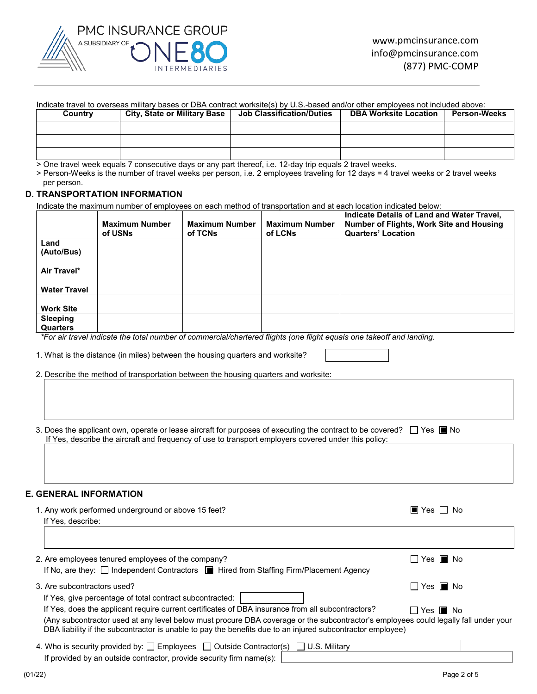

#### Indicate travel to overseas military bases or DBA contract worksite(s) by U.S.-based and/or other employees not included above:

| Country | <b>City, State or Military Base</b> | <b>Job Classification/Duties</b> | <b>DBA Worksite Location</b> | <b>Person-Weeks</b> |
|---------|-------------------------------------|----------------------------------|------------------------------|---------------------|
|         |                                     |                                  |                              |                     |
|         |                                     |                                  |                              |                     |
|         |                                     |                                  |                              |                     |

> One travel week equals 7 consecutive days or any part thereof, i.e. 12-day trip equals 2 travel weeks.

> Person-Weeks is the number of travel weeks per person, i.e. 2 employees traveling for 12 days = 4 travel weeks or 2 travel weeks per person.

## **D. TRANSPORTATION INFORMATION**

Indicate the maximum number of employees on each method of transportation and at each location indicated below:

|                                                                                                                                                                                                                                                                                                                                                                                        | <b>Maximum Number</b><br>of USNs                                                                                                                                                                                              | <b>Maximum Number</b><br>of TCNs | <b>Maximum Number</b><br>of LCNs | <b>Quarters' Location</b> | Indicate Details of Land and Water Travel,<br>Number of Flights, Work Site and Housing |
|----------------------------------------------------------------------------------------------------------------------------------------------------------------------------------------------------------------------------------------------------------------------------------------------------------------------------------------------------------------------------------------|-------------------------------------------------------------------------------------------------------------------------------------------------------------------------------------------------------------------------------|----------------------------------|----------------------------------|---------------------------|----------------------------------------------------------------------------------------|
| Land                                                                                                                                                                                                                                                                                                                                                                                   |                                                                                                                                                                                                                               |                                  |                                  |                           |                                                                                        |
| (Auto/Bus)                                                                                                                                                                                                                                                                                                                                                                             |                                                                                                                                                                                                                               |                                  |                                  |                           |                                                                                        |
| Air Travel*                                                                                                                                                                                                                                                                                                                                                                            |                                                                                                                                                                                                                               |                                  |                                  |                           |                                                                                        |
| <b>Water Travel</b>                                                                                                                                                                                                                                                                                                                                                                    |                                                                                                                                                                                                                               |                                  |                                  |                           |                                                                                        |
| <b>Work Site</b>                                                                                                                                                                                                                                                                                                                                                                       |                                                                                                                                                                                                                               |                                  |                                  |                           |                                                                                        |
| Sleeping<br><b>Quarters</b>                                                                                                                                                                                                                                                                                                                                                            |                                                                                                                                                                                                                               |                                  |                                  |                           |                                                                                        |
|                                                                                                                                                                                                                                                                                                                                                                                        | *For air travel indicate the total number of commercial/chartered flights (one flight equals one takeoff and landing.                                                                                                         |                                  |                                  |                           |                                                                                        |
|                                                                                                                                                                                                                                                                                                                                                                                        | 1. What is the distance (in miles) between the housing quarters and worksite?<br>2. Describe the method of transportation between the housing quarters and worksite:                                                          |                                  |                                  |                           |                                                                                        |
|                                                                                                                                                                                                                                                                                                                                                                                        |                                                                                                                                                                                                                               |                                  |                                  |                           |                                                                                        |
|                                                                                                                                                                                                                                                                                                                                                                                        | 3. Does the applicant own, operate or lease aircraft for purposes of executing the contract to be covered? □ Yes ■ No<br>If Yes, describe the aircraft and frequency of use to transport employers covered under this policy: |                                  |                                  |                           |                                                                                        |
|                                                                                                                                                                                                                                                                                                                                                                                        |                                                                                                                                                                                                                               |                                  |                                  |                           |                                                                                        |
| E. GENERAL INFORMATION                                                                                                                                                                                                                                                                                                                                                                 |                                                                                                                                                                                                                               |                                  |                                  |                           |                                                                                        |
| If Yes, describe:                                                                                                                                                                                                                                                                                                                                                                      | 1. Any work performed underground or above 15 feet?                                                                                                                                                                           |                                  |                                  |                           | $\blacksquare$ Yes $\blacksquare$ No                                                   |
|                                                                                                                                                                                                                                                                                                                                                                                        |                                                                                                                                                                                                                               |                                  |                                  |                           |                                                                                        |
|                                                                                                                                                                                                                                                                                                                                                                                        | 2. Are employees tenured employees of the company?<br>If No, are they: [ Independent Contractors     Hired from Staffing Firm/Placement Agency                                                                                |                                  |                                  |                           | $\Box$ Yes $\blacksquare$ No                                                           |
|                                                                                                                                                                                                                                                                                                                                                                                        |                                                                                                                                                                                                                               |                                  |                                  |                           |                                                                                        |
| 3. Are subcontractors used?                                                                                                                                                                                                                                                                                                                                                            |                                                                                                                                                                                                                               |                                  |                                  |                           | $\Box$ Yes $\blacksquare$ No                                                           |
| If Yes, give percentage of total contract subcontracted:                                                                                                                                                                                                                                                                                                                               |                                                                                                                                                                                                                               |                                  |                                  |                           |                                                                                        |
| If Yes, does the applicant require current certificates of DBA insurance from all subcontractors?<br>$\Box$ Yes $\blacksquare$ No<br>(Any subcontractor used at any level below must procure DBA coverage or the subcontractor's employees could legally fall under your<br>DBA liability if the subcontractor is unable to pay the benefits due to an injured subcontractor employee) |                                                                                                                                                                                                                               |                                  |                                  |                           |                                                                                        |
|                                                                                                                                                                                                                                                                                                                                                                                        | 4. Who is security provided by: $\Box$ Employees $\Box$ Outside Contractor(s) $\Box$ U.S. Military                                                                                                                            |                                  |                                  |                           |                                                                                        |
|                                                                                                                                                                                                                                                                                                                                                                                        | If provided by an outside contractor, provide security firm name(s):                                                                                                                                                          |                                  |                                  |                           |                                                                                        |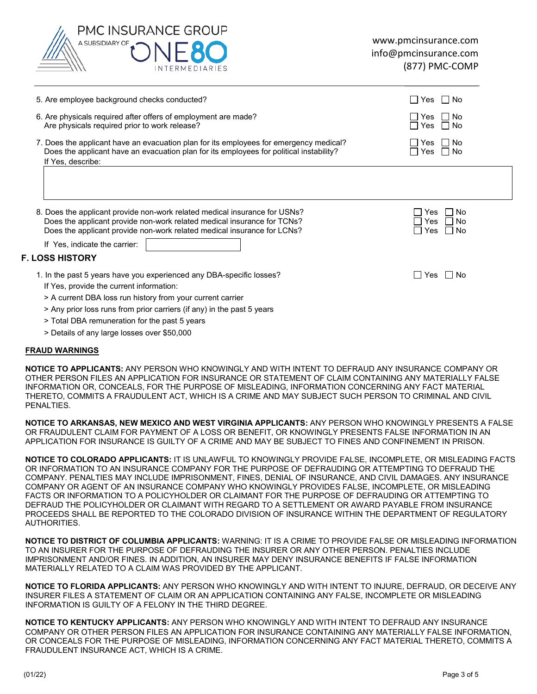

| 5. Are employee background checks conducted?                                                                                                                                                                                     | $\Box$ No<br>Yes                           |
|----------------------------------------------------------------------------------------------------------------------------------------------------------------------------------------------------------------------------------|--------------------------------------------|
| 6. Are physicals required after offers of employment are made?<br>Are physicals required prior to work release?                                                                                                                  | Yes $\Box$ No<br>∏Yes ∏No                  |
| 7. Does the applicant have an evacuation plan for its employees for emergency medical?<br>Does the applicant have an evacuation plan for its employees for political instability?<br>If Yes, describe:                           | ∣ I No<br>Yes<br>$\Box$ No<br>Yes          |
|                                                                                                                                                                                                                                  |                                            |
| 8. Does the applicant provide non-work related medical insurance for USNs?<br>Does the applicant provide non-work related medical insurance for TCNs?<br>Does the applicant provide non-work related medical insurance for LCNs? | No<br>Yes<br>l INo<br>Yes<br>l I No<br>Yes |
| If Yes, indicate the carrier:                                                                                                                                                                                                    |                                            |
| <b>F. LOSS HISTORY</b>                                                                                                                                                                                                           |                                            |
| 1. In the past 5 years have you experienced any DBA-specific losses?<br>If Yes, provide the current information:<br>> A current DBA loss run history from your current carrier                                                   | l INo<br>l Yes                             |
| > Any prior loss runs from prior carriers (if any) in the past 5 years                                                                                                                                                           |                                            |

- > Total DBA remuneration for the past 5 years
- > Details of any large losses over \$50,000

## **FRAUD WARNINGS**

**NOTICE TO APPLICANTS:** ANY PERSON WHO KNOWINGLY AND WITH INTENT TO DEFRAUD ANY INSURANCE COMPANY OR OTHER PERSON FILES AN APPLICATION FOR INSURANCE OR STATEMENT OF CLAIM CONTAINING ANY MATERIALLY FALSE INFORMATION OR, CONCEALS, FOR THE PURPOSE OF MISLEADING, INFORMATION CONCERNING ANY FACT MATERIAL THERETO, COMMITS A FRAUDULENT ACT, WHICH IS A CRIME AND MAY SUBJECT SUCH PERSON TO CRIMINAL AND CIVIL PENALTIES.

**NOTICE TO ARKANSAS, NEW MEXICO AND WEST VIRGINIA APPLICANTS:** ANY PERSON WHO KNOWINGLY PRESENTS A FALSE OR FRAUDULENT CLAIM FOR PAYMENT OF A LOSS OR BENEFIT, OR KNOWINGLY PRESENTS FALSE INFORMATION IN AN APPLICATION FOR INSURANCE IS GUILTY OF A CRIME AND MAY BE SUBJECT TO FINES AND CONFINEMENT IN PRISON.

**NOTICE TO COLORADO APPLICANTS:** IT IS UNLAWFUL TO KNOWINGLY PROVIDE FALSE, INCOMPLETE, OR MISLEADING FACTS OR INFORMATION TO AN INSURANCE COMPANY FOR THE PURPOSE OF DEFRAUDING OR ATTEMPTING TO DEFRAUD THE COMPANY. PENALTIES MAY INCLUDE IMPRISONMENT, FINES, DENIAL OF INSURANCE, AND CIVIL DAMAGES. ANY INSURANCE COMPANY OR AGENT OF AN INSURANCE COMPANY WHO KNOWINGLY PROVIDES FALSE, INCOMPLETE, OR MISLEADING FACTS OR INFORMATION TO A POLICYHOLDER OR CLAIMANT FOR THE PURPOSE OF DEFRAUDING OR ATTEMPTING TO DEFRAUD THE POLICYHOLDER OR CLAIMANT WITH REGARD TO A SETTLEMENT OR AWARD PAYABLE FROM INSURANCE PROCEEDS SHALL BE REPORTED TO THE COLORADO DIVISION OF INSURANCE WITHIN THE DEPARTMENT OF REGULATORY AUTHORITIES.

**NOTICE TO DISTRICT OF COLUMBIA APPLICANTS:** WARNING: IT IS A CRIME TO PROVIDE FALSE OR MISLEADING INFORMATION TO AN INSURER FOR THE PURPOSE OF DEFRAUDING THE INSURER OR ANY OTHER PERSON. PENALTIES INCLUDE IMPRISONMENT AND/OR FINES. IN ADDITION, AN INSURER MAY DENY INSURANCE BENEFITS IF FALSE INFORMATION MATERIALLY RELATED TO A CLAIM WAS PROVIDED BY THE APPLICANT.

**NOTICE TO FLORIDA APPLICANTS:** ANY PERSON WHO KNOWINGLY AND WITH INTENT TO INJURE, DEFRAUD, OR DECEIVE ANY INSURER FILES A STATEMENT OF CLAIM OR AN APPLICATION CONTAINING ANY FALSE, INCOMPLETE OR MISLEADING INFORMATION IS GUILTY OF A FELONY IN THE THIRD DEGREE.

**NOTICE TO KENTUCKY APPLICANTS:** ANY PERSON WHO KNOWINGLY AND WITH INTENT TO DEFRAUD ANY INSURANCE COMPANY OR OTHER PERSON FILES AN APPLICATION FOR INSURANCE CONTAINING ANY MATERIALLY FALSE INFORMATION, OR CONCEALS FOR THE PURPOSE OF MISLEADING, INFORMATION CONCERNING ANY FACT MATERIAL THERETO, COMMITS A FRAUDULENT INSURANCE ACT, WHICH IS A CRIME.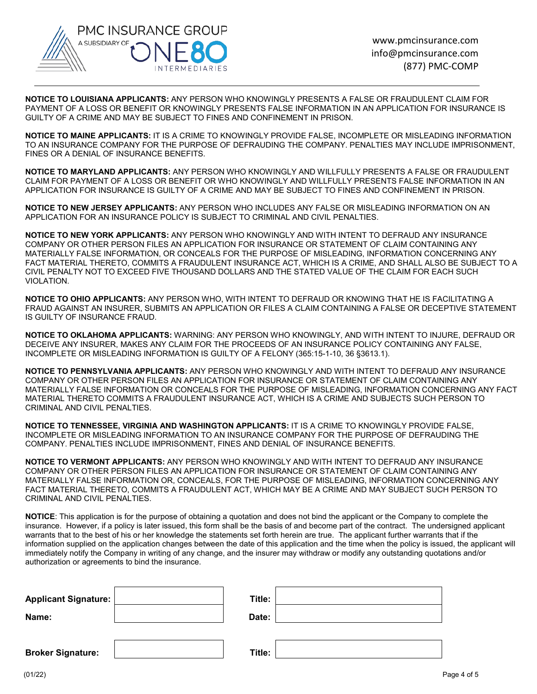

**NOTICE TO LOUISIANA APPLICANTS:** ANY PERSON WHO KNOWINGLY PRESENTS A FALSE OR FRAUDULENT CLAIM FOR PAYMENT OF A LOSS OR BENEFIT OR KNOWINGLY PRESENTS FALSE INFORMATION IN AN APPLICATION FOR INSURANCE IS GUILTY OF A CRIME AND MAY BE SUBJECT TO FINES AND CONFINEMENT IN PRISON.

**NOTICE TO MAINE APPLICANTS:** IT IS A CRIME TO KNOWINGLY PROVIDE FALSE, INCOMPLETE OR MISLEADING INFORMATION TO AN INSURANCE COMPANY FOR THE PURPOSE OF DEFRAUDING THE COMPANY. PENALTIES MAY INCLUDE IMPRISONMENT, FINES OR A DENIAL OF INSURANCE BENEFITS.

**NOTICE TO MARYLAND APPLICANTS:** ANY PERSON WHO KNOWINGLY AND WILLFULLY PRESENTS A FALSE OR FRAUDULENT CLAIM FOR PAYMENT OF A LOSS OR BENEFIT OR WHO KNOWINGLY AND WILLFULLY PRESENTS FALSE INFORMATION IN AN APPLICATION FOR INSURANCE IS GUILTY OF A CRIME AND MAY BE SUBJECT TO FINES AND CONFINEMENT IN PRISON.

**NOTICE TO NEW JERSEY APPLICANTS:** ANY PERSON WHO INCLUDES ANY FALSE OR MISLEADING INFORMATION ON AN APPLICATION FOR AN INSURANCE POLICY IS SUBJECT TO CRIMINAL AND CIVIL PENALTIES.

**NOTICE TO NEW YORK APPLICANTS:** ANY PERSON WHO KNOWINGLY AND WITH INTENT TO DEFRAUD ANY INSURANCE COMPANY OR OTHER PERSON FILES AN APPLICATION FOR INSURANCE OR STATEMENT OF CLAIM CONTAINING ANY MATERIALLY FALSE INFORMATION, OR CONCEALS FOR THE PURPOSE OF MISLEADING, INFORMATION CONCERNING ANY FACT MATERIAL THERETO, COMMITS A FRAUDULENT INSURANCE ACT, WHICH IS A CRIME, AND SHALL ALSO BE SUBJECT TO A CIVIL PENALTY NOT TO EXCEED FIVE THOUSAND DOLLARS AND THE STATED VALUE OF THE CLAIM FOR EACH SUCH VIOLATION.

**NOTICE TO OHIO APPLICANTS:** ANY PERSON WHO, WITH INTENT TO DEFRAUD OR KNOWING THAT HE IS FACILITATING A FRAUD AGAINST AN INSURER, SUBMITS AN APPLICATION OR FILES A CLAIM CONTAINING A FALSE OR DECEPTIVE STATEMENT IS GUILTY OF INSURANCE FRAUD.

**NOTICE TO OKLAHOMA APPLICANTS:** WARNING: ANY PERSON WHO KNOWINGLY, AND WITH INTENT TO INJURE, DEFRAUD OR DECEIVE ANY INSURER, MAKES ANY CLAIM FOR THE PROCEEDS OF AN INSURANCE POLICY CONTAINING ANY FALSE, INCOMPLETE OR MISLEADING INFORMATION IS GUILTY OF A FELONY (365:15-1-10, 36 §3613.1).

**NOTICE TO PENNSYLVANIA APPLICANTS:** ANY PERSON WHO KNOWINGLY AND WITH INTENT TO DEFRAUD ANY INSURANCE COMPANY OR OTHER PERSON FILES AN APPLICATION FOR INSURANCE OR STATEMENT OF CLAIM CONTAINING ANY MATERIALLY FALSE INFORMATION OR CONCEALS FOR THE PURPOSE OF MISLEADING, INFORMATION CONCERNING ANY FACT MATERIAL THERETO COMMITS A FRAUDULENT INSURANCE ACT, WHICH IS A CRIME AND SUBJECTS SUCH PERSON TO CRIMINAL AND CIVIL PENALTIES.

**NOTICE TO TENNESSEE, VIRGINIA AND WASHINGTON APPLICANTS:** IT IS A CRIME TO KNOWINGLY PROVIDE FALSE, INCOMPLETE OR MISLEADING INFORMATION TO AN INSURANCE COMPANY FOR THE PURPOSE OF DEFRAUDING THE COMPANY. PENALTIES INCLUDE IMPRISONMENT, FINES AND DENIAL OF INSURANCE BENEFITS.

**NOTICE TO VERMONT APPLICANTS:** ANY PERSON WHO KNOWINGLY AND WITH INTENT TO DEFRAUD ANY INSURANCE COMPANY OR OTHER PERSON FILES AN APPLICATION FOR INSURANCE OR STATEMENT OF CLAIM CONTAINING ANY MATERIALLY FALSE INFORMATION OR, CONCEALS, FOR THE PURPOSE OF MISLEADING, INFORMATION CONCERNING ANY FACT MATERIAL THERETO, COMMITS A FRAUDULENT ACT, WHICH MAY BE A CRIME AND MAY SUBJECT SUCH PERSON TO CRIMINAL AND CIVIL PENALTIES.

**NOTICE**: This application is for the purpose of obtaining a quotation and does not bind the applicant or the Company to complete the insurance. However, if a policy is later issued, this form shall be the basis of and become part of the contract. The undersigned applicant warrants that to the best of his or her knowledge the statements set forth herein are true. The applicant further warrants that if the information supplied on the application changes between the date of this application and the time when the policy is issued, the applicant will immediately notify the Company in writing of any change, and the insurer may withdraw or modify any outstanding quotations and/or authorization or agreements to bind the insurance.

| <b>Applicant Signature:</b><br>Name: | Title:<br>Date: |  |
|--------------------------------------|-----------------|--|
| <b>Broker Signature:</b>             | Title:          |  |